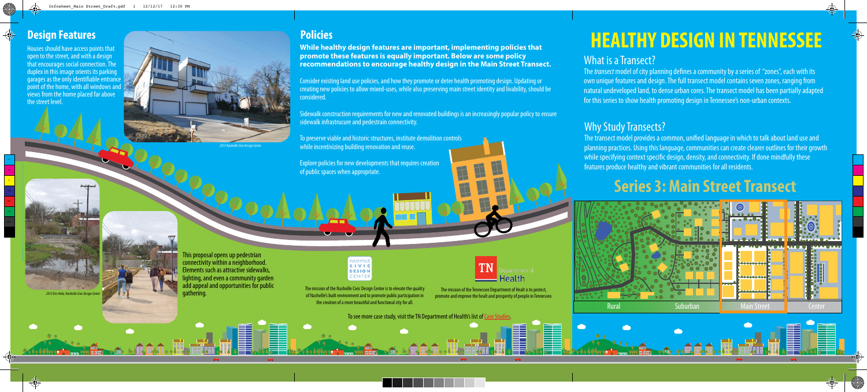Houses should have access points that open to the street, and with a design that encourages social connection. The duplex in this image orients its parking garages as the only identifiable entrance point of the home, with all windows and views from the home placed far above the street level.

> This proposal opens up pedestrian connectivity within a neighborhood. Elements such as attractive sidewalks, thting, and even a community garden add appeal and opportunities for public gathering.



The *transect* model of city planning defines a community by a series of "zones", each with its own unique features and design. The full transect model contains seven zones, ranging from natural undeveloped land, to dense urban cores. The transect model has been partially adapted for this series to show health promoting design in Tennessee's non-urban contexts.



*2013 Eric Hoke, Nashville Civic Design Center*

## What is a Transect?

The transect model provides a common, unified language in which to talk about land use and planning practices. Using this language, communities can create clearer outlines for their growth while specifying context specific design, density, and connectivity. If done mindfully these features produce healthy and vibrant communities for all residents.

## Why Study Transects?



*2013 Nashville Civic Design Center*

The mission of the Nashville Civic Design Center is to elevate the quality of Nashville's built environment and to promote public participation in the creation of a more beautiful and functional city for all.

The mission of the Tennessee Department of Healt is to protect, promote and improve the healt and prosperity of people in Tennessee.

**While healthy design features are important, implementing policies that promote these features is equally important. Below are some policy recommendations to encourage healthy design in the Main Street Transect.**

Consider existing land use policies, and how they promote or deter health promoting design. Updating or creating new policies to allow mixed-uses, while also preserving main street identity and livability, should be considered.

Sidewalk construction requirements for new and renovated buildings is an increasingly popular policy to ensure sidewalk infrastrucure and pedestrain connectivity.

To preserve viable and historic structures, institute demolition controls while incentivizing building renovation and reuse.

Explore policies for new developments that requires creation of public spaces when appropriate.

# **HEALTHY DESIGN IN TENNESSEE**



To see more case study, visit the TN Department of Health's list of Case Studies.

## **Series 3: Main Street Transect**

M Y

MY CY